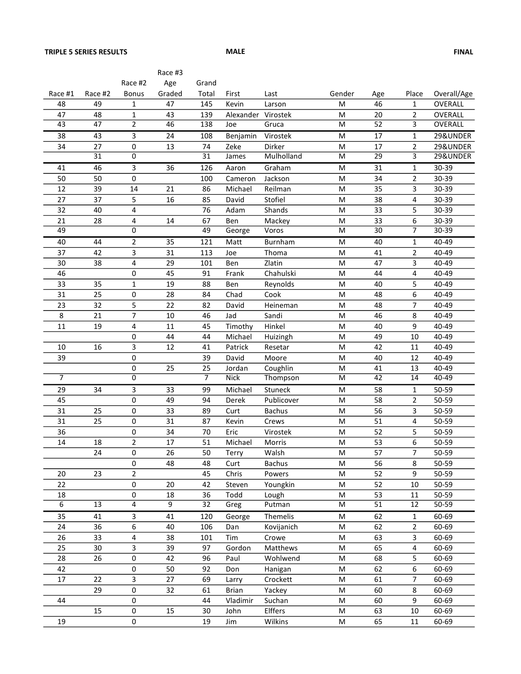|                 |                 |                     | Race #3 |                 |                    |               |                                                                                                            |                 |                         |                |
|-----------------|-----------------|---------------------|---------|-----------------|--------------------|---------------|------------------------------------------------------------------------------------------------------------|-----------------|-------------------------|----------------|
|                 |                 | Race #2             | Age     | Grand           |                    |               |                                                                                                            |                 |                         |                |
| Race #1         | Race #2         | <b>Bonus</b>        | Graded  | Total           | First              | Last          | Gender                                                                                                     | Age             | Place                   | Overall/Age    |
| 48              | 49              | 1                   | 47      | 145             | Kevin              | Larson        | M                                                                                                          | 46              | $\mathbf{1}$            | OVERALL        |
| 47              | 48              | $\mathbf{1}$        | 43      | 139             | Alexander Virostek |               | M                                                                                                          | 20              | $\overline{2}$          | OVERALL        |
| $\overline{43}$ | $\overline{47}$ | $\overline{2}$      | 46      | 138             | Joe                | Gruca         | M                                                                                                          | 52              | 3                       | <b>OVERALL</b> |
| 38              | 43              | 3                   | 24      | 108             | Benjamin           | Virostek      | M                                                                                                          | 17              | 1                       | 29&UNDER       |
| 34              | 27              | 0                   | 13      | 74              | Zeke               | Dirker        | M                                                                                                          | 17              | 2                       | 29&UNDER       |
|                 | 31              | 0                   |         | 31              | James              | Mulholland    | M                                                                                                          | 29              | 3                       | 29&UNDER       |
| 41              | 46              | 3                   | 36      | 126             | Aaron              | Graham        | M                                                                                                          | 31              | $\mathbf 1$             | 30-39          |
| 50              | 50              | 0                   |         | 100             | Cameron            | Jackson       | M                                                                                                          | 34              | $\overline{2}$          | 30-39          |
| 12              | 39              | 14                  | 21      | 86              | Michael            | Reilman       | M                                                                                                          | 35              | 3                       | 30-39          |
| 27              | 37              | 5                   | 16      | 85              | David              | Stofiel       | M                                                                                                          | 38              | 4                       | 30-39          |
| 32              | 40              | 4                   |         | 76              | Adam               | Shands        | M                                                                                                          | 33              | 5                       | 30-39          |
| 21              | 28              | 4                   | 14      | 67              | Ben                | Mackey        | M                                                                                                          | 33              | 6                       | 30-39          |
| 49              |                 | 0                   |         | 49              | George             | Voros         | M                                                                                                          | $\overline{30}$ | 7                       | 30-39          |
| 40              | 44              | 2                   | 35      | 121             | Matt               | Burnham       | M                                                                                                          | 40              | $\mathbf 1$             | 40-49          |
| 37              | 42              | 3                   | 31      | 113             | Joe                | Thoma         | M                                                                                                          | 41              | $\overline{2}$          | 40-49          |
| 30              | 38              | 4                   | 29      | 101             | Ben                | Zlatin        | ${\sf M}$                                                                                                  | 47              | 3                       | 40-49          |
| 46              |                 | 0                   | 45      | 91              | Frank              | Chahulski     | M                                                                                                          | 44              | 4                       | 40-49          |
| 33              | 35              | $\mathbf 1$         | 19      | 88              | Ben                | Reynolds      | M                                                                                                          | 40              | 5                       | 40-49          |
| 31              | 25              | 0                   | 28      | 84              | Chad               | Cook          | M                                                                                                          | 48              | 6                       | 40-49          |
| 23              | 32              | 5                   | 22      | 82              | David              | Heineman      | M                                                                                                          | 48              | 7                       | 40-49          |
| 8               | 21              | 7                   | 10      | 46              | Jad                | Sandi         | M                                                                                                          | 46              | 8                       | 40-49          |
| 11              | 19              | 4                   | 11      | 45              | Timothy            | Hinkel        | M                                                                                                          | 40              | 9                       | 40-49          |
|                 |                 | 0                   | 44      | 44              | Michael            | Huizingh      | M                                                                                                          | 49              | 10                      | 40-49          |
| 10              | 16              | 3                   | 12      | 41              | Patrick            | Resetar       | M                                                                                                          | 42              | 11                      | 40-49          |
| 39              |                 | 0                   |         | 39              | David              | Moore         | M                                                                                                          | 40              | 12                      | 40-49          |
|                 |                 | 0                   | 25      | 25              | Jordan             | Coughlin      | ${\sf M}$                                                                                                  | 41              | 13                      | 40-49          |
| 7               |                 | 0                   |         | 7               | <b>Nick</b>        | Thompson      | M                                                                                                          | 42              | 14                      | 40-49          |
| 29              | 34              | 3                   | 33      | 99              | Michael            | Stuneck       | M                                                                                                          | 58              | $\mathbf{1}$            | 50-59          |
| 45              |                 | 0                   | 49      | 94              | Derek              | Publicover    | M                                                                                                          | 58              | $\overline{2}$          | 50-59          |
| 31              | 25              | 0                   | 33      | 89              | Curt               | <b>Bachus</b> | M                                                                                                          | 56              | 3                       | 50-59          |
| 31              | 25              | 0                   | 31      | 87              | Kevin              | Crews         | ${\sf M}$                                                                                                  | 51              | $\overline{\mathbf{4}}$ | 50-59          |
| 36              |                 | 0                   | 34      | 70              | Eric               | Virostek      | M                                                                                                          | 52              | 5                       | 50-59          |
| 14              | 18              | 2                   | 17      | 51              | Michael            | Morris        | ${\sf M}$                                                                                                  | 53              | 6                       | 50-59          |
|                 | 24              | 0                   | 26      | 50              | Terry              | Walsh         | M                                                                                                          | 57              | 7                       | 50-59          |
|                 |                 | 0                   | 48      | 48              | Curt               | Bachus        | M                                                                                                          | 56              | 8                       | 50-59          |
| 20              | 23              | $\overline{a}$      |         | 45              | Chris              | Powers        | ${\sf M}$                                                                                                  | 52              | 9                       | 50-59          |
| 22              |                 | 0                   | 20      | 42              | Steven             | Youngkin      | M                                                                                                          | 52              | 10                      | 50-59          |
| 18              |                 | 0                   | 18      | 36              | Todd               | Lough         | M                                                                                                          | 53              | 11                      | 50-59          |
| 6               | $\overline{13}$ | 4                   | 9       | $\overline{32}$ | Greg               | Putman        | M                                                                                                          | $\overline{51}$ | 12                      | $50 - 59$      |
| 35              | 41              | 3                   | 41      | 120             | George             | Themelis      | ${\sf M}$                                                                                                  | 62              | $\mathbf{1}$            | 60-69          |
| 24              | 36              | 6                   | 40      | 106             | Dan                | Kovijanich    | ${\sf M}$                                                                                                  | 62              | $\overline{a}$          | 60-69          |
| 26              | 33              | 4                   | 38      | 101             | Tim                | Crowe         | ${\sf M}$                                                                                                  | 63              | 3                       | 60-69          |
| 25              | 30              | 3                   | 39      | 97              | Gordon             | Matthews      | M                                                                                                          | 65              | $\overline{\mathbf{4}}$ | 60-69          |
| 28              | 26              | 0                   | 42      | 96              | Paul               | Wohlwend      | M                                                                                                          | 68              | 5                       | 60-69          |
| 42              |                 | 0                   | 50      | 92              | Don                | Hanigan       | M                                                                                                          | 62              | 6                       | 60-69          |
| 17              | 22              | 3                   | 27      | 69              | Larry              | Crockett      | M                                                                                                          | 61              | 7                       | 60-69          |
|                 | 29              | 0                   | 32      | 61              | <b>Brian</b>       | Yackey        | ${\sf M}$                                                                                                  | 60              | 8                       | 60-69          |
| 44              |                 | 0                   |         | 44              | Vladimir           | Suchan        | $\mathsf{M}% _{T}=\mathsf{M}_{T}\!\left( a,b\right) ,\ \mathsf{M}_{T}=\mathsf{M}_{T}\!\left( a,b\right) ,$ | 60              | 9                       | 60-69          |
|                 | 15              | $\pmb{0}$           | 15      | 30              | John               | Elffers       | ${\sf M}$                                                                                                  | 63              | $10\,$                  | 60-69          |
| 19              |                 | $\mathsf{O}\xspace$ |         | 19              | Jim                | Wilkins       | M                                                                                                          | 65              | 11                      | 60-69          |